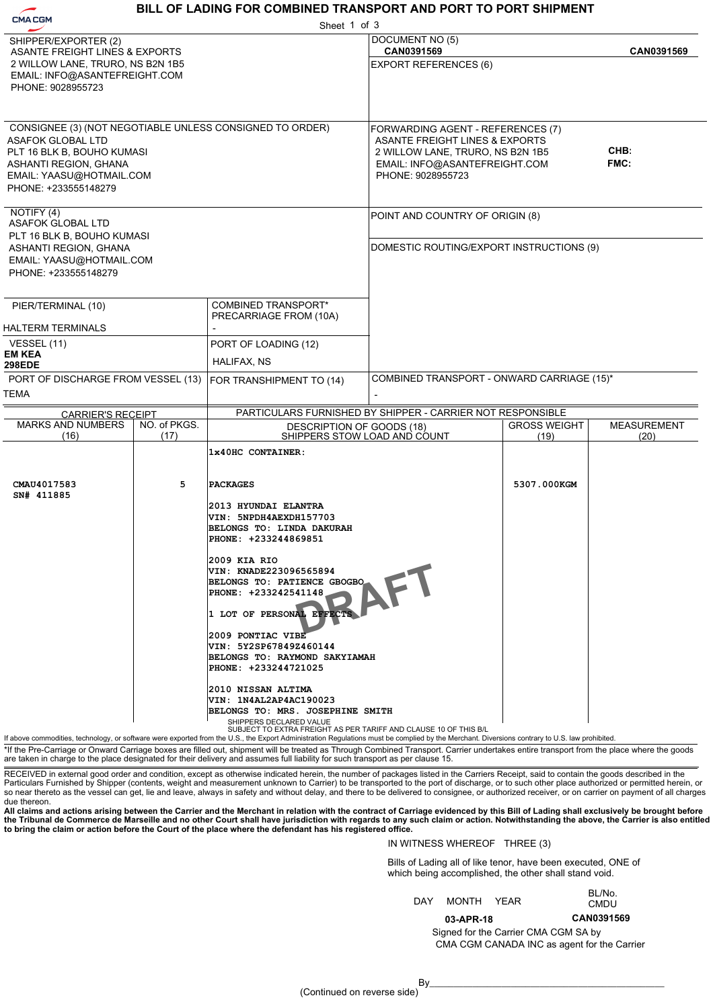# **BILL OF LADING FOR COMBINED TRANSPORT AND PORT TO PORT SHIPMENT**

| <b>CMACGM</b>                                                                                                                                    |                      | Sheet 1 of 3                                                                                                                                                                                                                                                                                                                                                                                                                                                                                                                                                                                                                                                                                                                                                                   |                                                                                                                                                                          |                             |                            |
|--------------------------------------------------------------------------------------------------------------------------------------------------|----------------------|--------------------------------------------------------------------------------------------------------------------------------------------------------------------------------------------------------------------------------------------------------------------------------------------------------------------------------------------------------------------------------------------------------------------------------------------------------------------------------------------------------------------------------------------------------------------------------------------------------------------------------------------------------------------------------------------------------------------------------------------------------------------------------|--------------------------------------------------------------------------------------------------------------------------------------------------------------------------|-----------------------------|----------------------------|
| SHIPPER/EXPORTER (2)<br>ASANTE FREIGHT LINES & EXPORTS<br>2 WILLOW LANE, TRURO, NS B2N 1B5<br>EMAIL: INFO@ASANTEFREIGHT.COM<br>PHONE: 9028955723 |                      |                                                                                                                                                                                                                                                                                                                                                                                                                                                                                                                                                                                                                                                                                                                                                                                | DOCUMENT NO (5)<br>CAN0391569<br><b>EXPORT REFERENCES (6)</b>                                                                                                            |                             | CAN0391569                 |
| <b>ASAFOK GLOBAL LTD</b><br>PLT 16 BLK B, BOUHO KUMASI<br>ASHANTI REGION, GHANA<br>EMAIL: YAASU@HOTMAIL.COM<br>PHONE: +233555148279              |                      | CONSIGNEE (3) (NOT NEGOTIABLE UNLESS CONSIGNED TO ORDER)                                                                                                                                                                                                                                                                                                                                                                                                                                                                                                                                                                                                                                                                                                                       | FORWARDING AGENT - REFERENCES (7)<br><b>ASANTE FREIGHT LINES &amp; EXPORTS</b><br>2 WILLOW LANE, TRURO, NS B2N 1B5<br>EMAIL: INFO@ASANTEFREIGHT.COM<br>PHONE: 9028955723 |                             | CHB:<br><b>FMC:</b>        |
| NOTIFY (4)<br>ASAFOK GLOBAL LTD<br>PLT 16 BLK B, BOUHO KUMASI<br>ASHANTI REGION, GHANA<br>EMAIL: YAASU@HOTMAIL.COM<br>PHONE: +233555148279       |                      |                                                                                                                                                                                                                                                                                                                                                                                                                                                                                                                                                                                                                                                                                                                                                                                | POINT AND COUNTRY OF ORIGIN (8)<br>DOMESTIC ROUTING/EXPORT INSTRUCTIONS (9)                                                                                              |                             |                            |
| PIER/TERMINAL (10)<br><b>HALTERM TERMINALS</b>                                                                                                   |                      | COMBINED TRANSPORT*<br>PRECARRIAGE FROM (10A)                                                                                                                                                                                                                                                                                                                                                                                                                                                                                                                                                                                                                                                                                                                                  |                                                                                                                                                                          |                             |                            |
| VESSEL (11)<br><b>EM KEA</b><br><b>298EDE</b>                                                                                                    |                      | PORT OF LOADING (12)<br>HALIFAX, NS                                                                                                                                                                                                                                                                                                                                                                                                                                                                                                                                                                                                                                                                                                                                            |                                                                                                                                                                          |                             |                            |
| PORT OF DISCHARGE FROM VESSEL (13)<br><b>TEMA</b>                                                                                                |                      | FOR TRANSHIPMENT TO (14)                                                                                                                                                                                                                                                                                                                                                                                                                                                                                                                                                                                                                                                                                                                                                       | COMBINED TRANSPORT - ONWARD CARRIAGE (15)*                                                                                                                               |                             |                            |
| <b>CARRIER'S RECEIPT</b>                                                                                                                         |                      |                                                                                                                                                                                                                                                                                                                                                                                                                                                                                                                                                                                                                                                                                                                                                                                | PARTICULARS FURNISHED BY SHIPPER - CARRIER NOT RESPONSIBLE                                                                                                               |                             |                            |
| <b>MARKS AND NUMBERS</b><br>(16)                                                                                                                 | NO. of PKGS.<br>(17) |                                                                                                                                                                                                                                                                                                                                                                                                                                                                                                                                                                                                                                                                                                                                                                                | DESCRIPTION OF GOODS (18)<br>SHIPPERS STOW LOAD AND COUNT                                                                                                                | <b>GROSS WEIGHT</b><br>(19) | <b>MEASUREMENT</b><br>(20) |
| CMAU4017583<br>SN# 411885                                                                                                                        | 5                    | 1x40HC CONTAINER:<br><b>PACKAGES</b><br>2013 HYUNDAI ELANTRA<br>VIN: 5NPDH4AEXDH157703<br><b>BELONGS TO: LINDA DAKURAH</b><br>PHONE: +233244869851<br>2009 KIA RIO<br>VIN: KNADE223096565894<br>BELONGS TO: PATIENCE GBOGBO<br>PHONE: +233242541148<br>1 LOT OF PERSONAL EFFECTS<br>2009 PONTIAC VIBE<br>VIN: 5Y2SP67849Z460144 <br>BELONGS TO: RAYMOND SAKYIAMAH<br>PHONE: +233244721025<br>2010 NISSAN ALTIMA<br>VIN: 1N4AL2AP4AC190023<br>BELONGS TO: MRS. JOSEPHINE SMITH<br>SHIPPERS DECLARED VALUE<br>SUBJECT TO EXTRA FREIGHT AS PER TARIFF AND CLAUSE 10 OF THIS B/L<br>If above commodities, technology, or software were exported from the U.S., the Export Administration Regulations must be complied by the Merchant. Diversions contrary to U.S. law prohibited. |                                                                                                                                                                          | 5307.000KGM                 |                            |

\*If the Pre-Carriage or Onward Carriage boxes are filled out, shipment will be treated as Through Combined Transport. Carrier undertakes entire transport from the place where the goods are taken in charge to the place designated for their delivery and assumes full liability for such transport as per clause 15.

RECEIVED in external good order and condition, except as otherwise indicated herein, the number of packages listed in the Carriers Receipt, said to contain the goods described in the<br>Particulars Furnished by Shipper (conte so near thereto as the vessel can get, lie and leave, always in safety and without delay, and there to be delivered to consignee, or authorized receiver, or on carrier on payment of all charges due thereon.

All claims and actions arising between the Carrier and the Merchant in relation with the contract of Carriage evidenced by this Bill of Lading shall exclusively be brought before<br>the Tribunal de Commerce de Marseille and n

### IN WITNESS WHEREOF THREE (3)

**03-APR-18**

Bills of Lading all of like tenor, have been executed, ONE of which being accomplished, the other shall stand void.

|     |            | <b>DLIV.</b> |
|-----|------------|--------------|
| DAY | MONTH YEAR | CMDU         |
|     |            |              |

BL/No.

CMA CGM CANADA INC as agent for the Carrier Signed for the Carrier CMA CGM SA by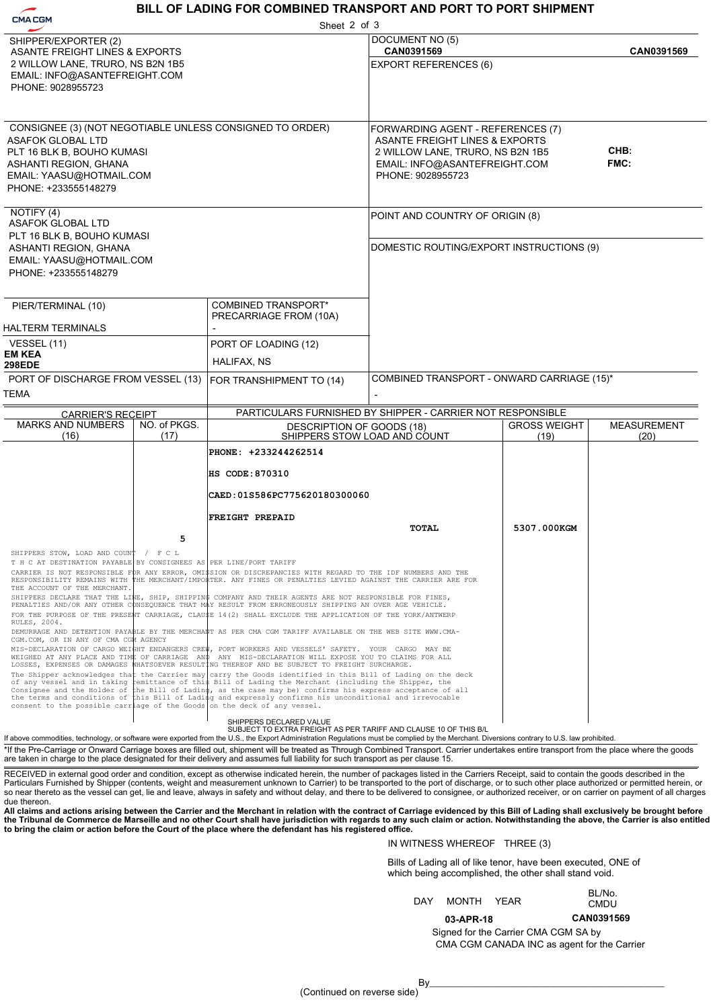### **BILL OF LADING FOR COMBINED TRANSPORT AND PORT TO PORT SHIPMENT**

| <b>CMACGM</b>                                                                                                                                                                                   |      | Sheet 2 of 3                                                                                                                                                                                                                                                                                                                                                                                                                                                                                                                                                                                                                                                                                                                                                                                                                                                                                                                                                            |                                                                                                                                                               |                     |                    |
|-------------------------------------------------------------------------------------------------------------------------------------------------------------------------------------------------|------|-------------------------------------------------------------------------------------------------------------------------------------------------------------------------------------------------------------------------------------------------------------------------------------------------------------------------------------------------------------------------------------------------------------------------------------------------------------------------------------------------------------------------------------------------------------------------------------------------------------------------------------------------------------------------------------------------------------------------------------------------------------------------------------------------------------------------------------------------------------------------------------------------------------------------------------------------------------------------|---------------------------------------------------------------------------------------------------------------------------------------------------------------|---------------------|--------------------|
| SHIPPER/EXPORTER (2)                                                                                                                                                                            |      |                                                                                                                                                                                                                                                                                                                                                                                                                                                                                                                                                                                                                                                                                                                                                                                                                                                                                                                                                                         | DOCUMENT NO (5)                                                                                                                                               |                     |                    |
| <b>ASANTE FREIGHT LINES &amp; EXPORTS</b><br>2 WILLOW LANE, TRURO, NS B2N 1B5<br>EMAIL: INFO@ASANTEFREIGHT.COM<br>PHONE: 9028955723                                                             |      |                                                                                                                                                                                                                                                                                                                                                                                                                                                                                                                                                                                                                                                                                                                                                                                                                                                                                                                                                                         | CAN0391569<br><b>EXPORT REFERENCES (6)</b>                                                                                                                    |                     | CAN0391569         |
| CONSIGNEE (3) (NOT NEGOTIABLE UNLESS CONSIGNED TO ORDER)<br><b>ASAFOK GLOBAL LTD</b><br>PLT 16 BLK B, BOUHO KUMASI<br>ASHANTI REGION, GHANA<br>EMAIL: YAASU@HOTMAIL.COM<br>PHONE: +233555148279 |      |                                                                                                                                                                                                                                                                                                                                                                                                                                                                                                                                                                                                                                                                                                                                                                                                                                                                                                                                                                         | FORWARDING AGENT - REFERENCES (7)<br>ASANTE FREIGHT LINES & EXPORTS<br>2 WILLOW LANE, TRURO, NS B2N 1B5<br>EMAIL: INFO@ASANTEFREIGHT.COM<br>PHONE: 9028955723 |                     | CHB:<br>FMC:       |
| NOTIFY (4)<br><b>ASAFOK GLOBAL LTD</b><br>PLT 16 BLK B, BOUHO KUMASI                                                                                                                            |      |                                                                                                                                                                                                                                                                                                                                                                                                                                                                                                                                                                                                                                                                                                                                                                                                                                                                                                                                                                         | POINT AND COUNTRY OF ORIGIN (8)                                                                                                                               |                     |                    |
| ASHANTI REGION, GHANA<br>EMAIL: YAASU@HOTMAIL.COM<br>PHONE: +233555148279                                                                                                                       |      |                                                                                                                                                                                                                                                                                                                                                                                                                                                                                                                                                                                                                                                                                                                                                                                                                                                                                                                                                                         | DOMESTIC ROUTING/EXPORT INSTRUCTIONS (9)                                                                                                                      |                     |                    |
| PIER/TERMINAL (10)                                                                                                                                                                              |      | COMBINED TRANSPORT*<br>PRECARRIAGE FROM (10A)                                                                                                                                                                                                                                                                                                                                                                                                                                                                                                                                                                                                                                                                                                                                                                                                                                                                                                                           |                                                                                                                                                               |                     |                    |
| <b>HALTERM TERMINALS</b><br>VESSEL (11)                                                                                                                                                         |      | PORT OF LOADING (12)                                                                                                                                                                                                                                                                                                                                                                                                                                                                                                                                                                                                                                                                                                                                                                                                                                                                                                                                                    |                                                                                                                                                               |                     |                    |
| <b>EM KEA</b>                                                                                                                                                                                   |      | HALIFAX, NS                                                                                                                                                                                                                                                                                                                                                                                                                                                                                                                                                                                                                                                                                                                                                                                                                                                                                                                                                             |                                                                                                                                                               |                     |                    |
| <b>298EDE</b><br>PORT OF DISCHARGE FROM VESSEL (13)                                                                                                                                             |      |                                                                                                                                                                                                                                                                                                                                                                                                                                                                                                                                                                                                                                                                                                                                                                                                                                                                                                                                                                         | COMBINED TRANSPORT - ONWARD CARRIAGE (15)*                                                                                                                    |                     |                    |
| TEMA                                                                                                                                                                                            |      | FOR TRANSHIPMENT TO (14)                                                                                                                                                                                                                                                                                                                                                                                                                                                                                                                                                                                                                                                                                                                                                                                                                                                                                                                                                |                                                                                                                                                               |                     |                    |
|                                                                                                                                                                                                 |      |                                                                                                                                                                                                                                                                                                                                                                                                                                                                                                                                                                                                                                                                                                                                                                                                                                                                                                                                                                         |                                                                                                                                                               |                     |                    |
| PARTICULARS FURNISHED BY SHIPPER - CARRIER NOT RESPONSIBLE<br><b>CARRIER'S RECEIPT</b><br><b>MARKS AND NUMBERS</b><br>NO. of PKGS.                                                              |      |                                                                                                                                                                                                                                                                                                                                                                                                                                                                                                                                                                                                                                                                                                                                                                                                                                                                                                                                                                         | DESCRIPTION OF GOODS (18)                                                                                                                                     | <b>GROSS WEIGHT</b> | <b>MEASUREMENT</b> |
| (16)                                                                                                                                                                                            | (17) | SHIPPERS STOW LOAD AND COUNT                                                                                                                                                                                                                                                                                                                                                                                                                                                                                                                                                                                                                                                                                                                                                                                                                                                                                                                                            | (19)                                                                                                                                                          | (20)                |                    |
|                                                                                                                                                                                                 |      | PHONE: +233244262514                                                                                                                                                                                                                                                                                                                                                                                                                                                                                                                                                                                                                                                                                                                                                                                                                                                                                                                                                    |                                                                                                                                                               |                     |                    |
|                                                                                                                                                                                                 |      | HS CODE: 870310                                                                                                                                                                                                                                                                                                                                                                                                                                                                                                                                                                                                                                                                                                                                                                                                                                                                                                                                                         |                                                                                                                                                               |                     |                    |
|                                                                                                                                                                                                 |      | CAED:01S586PC775620180300060                                                                                                                                                                                                                                                                                                                                                                                                                                                                                                                                                                                                                                                                                                                                                                                                                                                                                                                                            |                                                                                                                                                               |                     |                    |
|                                                                                                                                                                                                 |      |                                                                                                                                                                                                                                                                                                                                                                                                                                                                                                                                                                                                                                                                                                                                                                                                                                                                                                                                                                         |                                                                                                                                                               |                     |                    |
|                                                                                                                                                                                                 |      | <b>FREIGHT PREPAID</b>                                                                                                                                                                                                                                                                                                                                                                                                                                                                                                                                                                                                                                                                                                                                                                                                                                                                                                                                                  | TOTAL                                                                                                                                                         | 5307.000KGM         |                    |
|                                                                                                                                                                                                 | 5    |                                                                                                                                                                                                                                                                                                                                                                                                                                                                                                                                                                                                                                                                                                                                                                                                                                                                                                                                                                         |                                                                                                                                                               |                     |                    |
| SHIPPERS STOW, LOAD AND COUNT / F C<br>T H C AT DESTINATION PAYABLE BY CONSIGNEES AS PER LINE/PORT TARIFF<br>THE ACCOUNT OF THE MERCHANT.                                                       |      | CARRIER IS NOT RESPONSIBLE FOR ANY ERROR, OMI\$SION OR DISCREPANCIES WITH REGARD TO THE IDF NUMBERS AND THE<br>RESPONSIBILITY REMAINS WITH THE MERCHANT/IMPORTER. ANY FINES OR PENALTIES LEVIED AGAINST THE CARRIER ARE FOR<br>SHIPPERS DECLARE THAT THE LINE, SHIP, SHIPPING COMPANY AND THEIR AGENTS ARE NOT RESPONSIBLE FOR FINES,                                                                                                                                                                                                                                                                                                                                                                                                                                                                                                                                                                                                                                   |                                                                                                                                                               |                     |                    |
| RULES, 2004.<br>CGM.COM, OR IN ANY OF CMA CGM AGENCY                                                                                                                                            |      | PENALTIES AND/OR ANY OTHER CONSEQUENCE THAT MAY RESULT FROM ERRONEOUSLY SHIPPING AN OVER AGE VEHICLE.<br>FOR THE PURPOSE OF THE PRESENT CARRIAGE, CLAU\$E 14(2) SHALL EXCLUDE THE APPLICATION OF THE YORK/ANTWERP<br>DEMURRAGE AND DETENTION PAYABLE BY THE MERCHANT AS PER CMA CGM TARIFF AVAILABLE ON THE WEB SITE WWW.CMA-                                                                                                                                                                                                                                                                                                                                                                                                                                                                                                                                                                                                                                           |                                                                                                                                                               |                     |                    |
|                                                                                                                                                                                                 |      | MIS-DECLARATION OF CARGO WEIGHT ENDANGERS CREW, PORT WORKERS AND VESSELS' SAFETY. YOUR CARGO MAY BE<br>WEIGHED AT ANY PLACE AND TIME OF CARRIAGE AND ANY MIS-DECLARATION WILL EXPOSE YOU TO CLAIMS FOR ALL<br>LOSSES, EXPENSES OR DAMAGES WHATSOEVER RESULTING THEREOF AND BE SUBJECT TO FREIGHT SURCHARGE.                                                                                                                                                                                                                                                                                                                                                                                                                                                                                                                                                                                                                                                             |                                                                                                                                                               |                     |                    |
| consent to the possible carriage of the Goods on the deck of any vessel.                                                                                                                        |      | The Shipper acknowledges that the Carrier may carry the Goods identified in this Bill of Lading on the deck<br>of any vessel and in taking remittance of this Bill of Lading the Merchant (including the Shipper, the<br>Consignee and the Holder of the Bill of Lading, as the case may be) confirms his express acceptance of all<br>the terms and conditions of this Bill of Lading and expressly confirms his unconditional and irrevocable                                                                                                                                                                                                                                                                                                                                                                                                                                                                                                                         |                                                                                                                                                               |                     |                    |
|                                                                                                                                                                                                 |      | SHIPPERS DECLARED VALUE<br>SUBJECT TO EXTRA FREIGHT AS PER TARIFF AND CLAUSE 10 OF THIS B/L                                                                                                                                                                                                                                                                                                                                                                                                                                                                                                                                                                                                                                                                                                                                                                                                                                                                             |                                                                                                                                                               |                     |                    |
|                                                                                                                                                                                                 |      | If above commodities, technology, or software were exported from the U.S., the Export Administration Regulations must be complied by the Merchant. Diversions contrary to U.S. law prohibited.<br>*If the Pre-Carriage or Onward Carriage boxes are filled out, shipment will be treated as Through Combined Transport. Carrier undertakes entire transport from the place where the goods<br>are taken in charge to the place designated for their delivery and assumes full liability for such transport as per clause 15.                                                                                                                                                                                                                                                                                                                                                                                                                                            |                                                                                                                                                               |                     |                    |
| due thereon.                                                                                                                                                                                    |      | RECEIVED in external good order and condition, except as otherwise indicated herein, the number of packages listed in the Carriers Receipt, said to contain the goods described in the<br>Particulars Furnished by Shipper (contents, weight and measurement unknown to Carrier) to be transported to the port of discharge, or to such other place authorized or permitted herein, or<br>so near thereto as the vessel can get, lie and leave, always in safety and without delay, and there to be delivered to consignee, or authorized receiver, or on carrier on payment of all charges<br>All claims and actions arising between the Carrier and the Merchant in relation with the contract of Carriage evidenced by this Bill of Lading shall exclusively be brought before<br>the Tribunal de Commerce de Marseille and no other Court shall have jurisdiction with regards to any such claim or action. Notwithstanding the above, the Carrier is also entitled |                                                                                                                                                               |                     |                    |

### IN WITNESS WHEREOF THREE (3)

**03-APR-18**

Bills of Lading all of like tenor, have been executed, ONE of which being accomplished, the other shall stand void.

| DAY . | MONTH YEAR |  |  | BL/No.<br>CMDU |
|-------|------------|--|--|----------------|
|-------|------------|--|--|----------------|

| CAN0391569 |
|------------|
|------------|

CMA CGM CANADA INC as agent for the Carrier Signed for the Carrier CMA CGM SA by